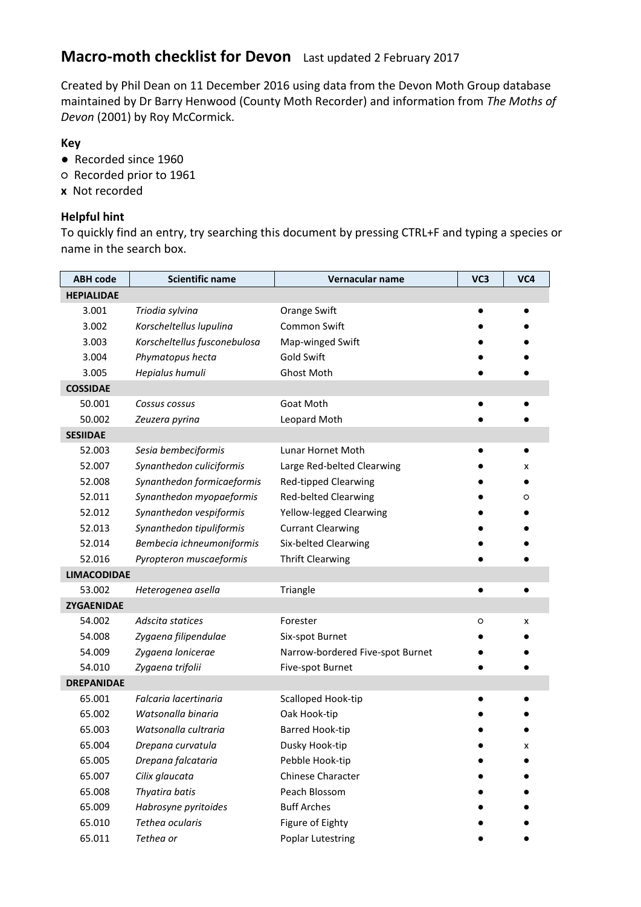## **Macro-moth checklist for Devon** Last updated 2 February 2017

Created by Phil Dean on 11 December 2016 using data from the Devon Moth Group database maintained by Dr Barry Henwood (County Moth Recorder) and information from *The Moths of Devon* (2001) by Roy McCormick.

## **Key**

- **●** Recorded since 1960
- **○** Recorded prior to 1961
- **x** Not recorded

## **Helpful hint**

To quickly find an entry, try searching this document by pressing CTRL+F and typing a species or name in the search box.

| <b>ABH</b> code    | <b>Scientific name</b>       | Vernacular name                  | VC3       | VC4 |
|--------------------|------------------------------|----------------------------------|-----------|-----|
| <b>HEPIALIDAE</b>  |                              |                                  |           |     |
| 3.001              | Triodia sylvina              | Orange Swift                     |           |     |
| 3.002              | Korscheltellus lupulina      | Common Swift                     |           |     |
| 3.003              | Korscheltellus fusconebulosa | Map-winged Swift                 |           |     |
| 3.004              | Phymatopus hecta             | Gold Swift                       |           |     |
| 3.005              | Hepialus humuli              | Ghost Moth                       |           |     |
| <b>COSSIDAE</b>    |                              |                                  |           |     |
| 50.001             | Cossus cossus                | Goat Moth                        |           |     |
| 50.002             | Zeuzera pyrina               | Leopard Moth                     |           |     |
| <b>SESIIDAE</b>    |                              |                                  |           |     |
| 52.003             | Sesia bembeciformis          | Lunar Hornet Moth                |           |     |
| 52.007             | Synanthedon culiciformis     | Large Red-belted Clearwing       |           | x   |
| 52.008             | Synanthedon formicaeformis   | <b>Red-tipped Clearwing</b>      |           |     |
| 52.011             | Synanthedon myopaeformis     | <b>Red-belted Clearwing</b>      |           | O   |
| 52.012             | Synanthedon vespiformis      | Yellow-legged Clearwing          |           |     |
| 52.013             | Synanthedon tipuliformis     | <b>Currant Clearwing</b>         |           |     |
| 52.014             | Bembecia ichneumoniformis    | Six-belted Clearwing             |           |     |
| 52.016             | Pyropteron muscaeformis      | <b>Thrift Clearwing</b>          |           |     |
| <b>LIMACODIDAE</b> |                              |                                  |           |     |
| 53.002             | Heterogenea asella           | Triangle                         | $\bullet$ |     |
| <b>ZYGAENIDAE</b>  |                              |                                  |           |     |
| 54.002             | Adscita statices             | Forester                         | O         | x   |
| 54.008             | Zygaena filipendulae         | Six-spot Burnet                  |           |     |
| 54.009             | Zygaena lonicerae            | Narrow-bordered Five-spot Burnet |           |     |
| 54.010             | Zygaena trifolii             | Five-spot Burnet                 |           |     |
| <b>DREPANIDAE</b>  |                              |                                  |           |     |
| 65.001             | Falcaria lacertinaria        | Scalloped Hook-tip               |           |     |
| 65.002             | Watsonalla binaria           | Oak Hook-tip                     |           |     |
| 65.003             | Watsonalla cultraria         | Barred Hook-tip                  |           |     |
| 65.004             | Drepana curvatula            | Dusky Hook-tip                   |           | x   |
| 65.005             | Drepana falcataria           | Pebble Hook-tip                  |           |     |
| 65.007             | Cilix glaucata               | <b>Chinese Character</b>         |           |     |
| 65.008             | Thyatira batis               | Peach Blossom                    |           |     |
| 65.009             | Habrosyne pyritoides         | <b>Buff Arches</b>               |           |     |
| 65.010             | Tethea ocularis              | Figure of Eighty                 |           |     |
| 65.011             | Tethea or                    | Poplar Lutestring                |           |     |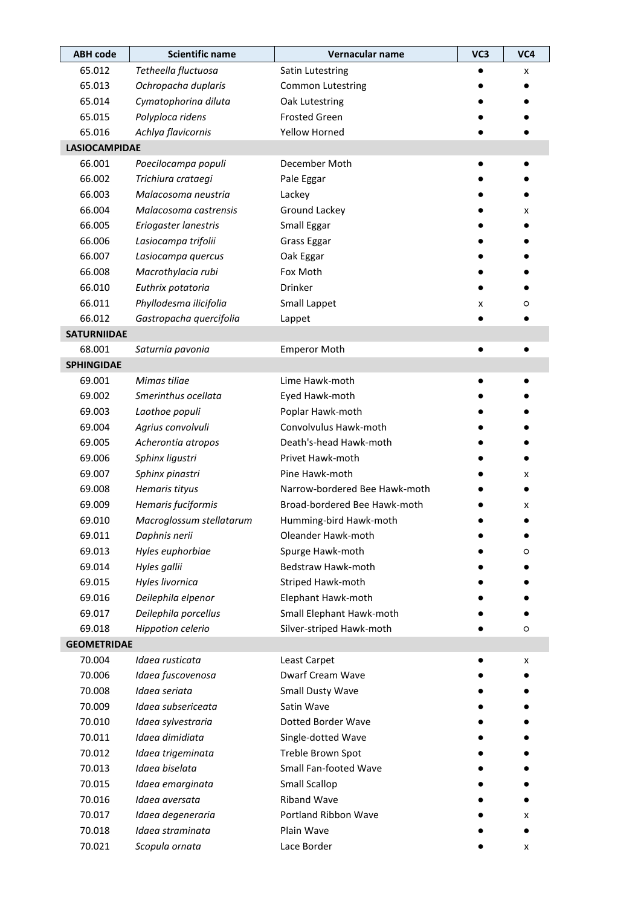| <b>ABH code</b>      | <b>Scientific name</b>   | Vernacular name               | VC3 | VC4 |
|----------------------|--------------------------|-------------------------------|-----|-----|
| 65.012               | Tetheella fluctuosa      | Satin Lutestring              |     | x   |
| 65.013               | Ochropacha duplaris      | <b>Common Lutestring</b>      |     |     |
| 65.014               | Cymatophorina diluta     | Oak Lutestring                |     |     |
| 65.015               | Polyploca ridens         | <b>Frosted Green</b>          |     |     |
| 65.016               | Achlya flavicornis       | Yellow Horned                 |     |     |
| <b>LASIOCAMPIDAE</b> |                          |                               |     |     |
| 66.001               | Poecilocampa populi      | December Moth                 |     |     |
| 66.002               | Trichiura crataegi       | Pale Eggar                    |     |     |
| 66.003               | Malacosoma neustria      | Lackey                        |     |     |
| 66.004               | Malacosoma castrensis    | Ground Lackey                 |     | x   |
| 66.005               | Eriogaster lanestris     | Small Eggar                   |     |     |
| 66.006               | Lasiocampa trifolii      | <b>Grass Eggar</b>            |     |     |
| 66.007               | Lasiocampa quercus       | Oak Eggar                     |     |     |
| 66.008               | Macrothylacia rubi       | Fox Moth                      |     |     |
| 66.010               | Euthrix potatoria        | <b>Drinker</b>                |     |     |
| 66.011               | Phyllodesma ilicifolia   | Small Lappet                  | x   | O   |
| 66.012               | Gastropacha quercifolia  | Lappet                        |     |     |
| <b>SATURNIIDAE</b>   |                          |                               |     |     |
| 68.001               | Saturnia pavonia         | <b>Emperor Moth</b>           |     |     |
| <b>SPHINGIDAE</b>    |                          |                               |     |     |
| 69.001               | Mimas tiliae             | Lime Hawk-moth                |     |     |
| 69.002               | Smerinthus ocellata      | Eyed Hawk-moth                |     |     |
| 69.003               | Laothoe populi           | Poplar Hawk-moth              |     |     |
| 69.004               | Agrius convolvuli        | Convolvulus Hawk-moth         |     |     |
| 69.005               | Acherontia atropos       | Death's-head Hawk-moth        |     |     |
| 69.006               | Sphinx ligustri          | Privet Hawk-moth              |     |     |
| 69.007               | Sphinx pinastri          | Pine Hawk-moth                |     | x   |
| 69.008               | Hemaris tityus           | Narrow-bordered Bee Hawk-moth |     |     |
| 69.009               | Hemaris fuciformis       | Broad-bordered Bee Hawk-moth  |     | x   |
| 69.010               | Macroglossum stellatarum | Humming-bird Hawk-moth        |     |     |
| 69.011               | Daphnis nerii            | Oleander Hawk-moth            |     |     |
| 69.013               | Hyles euphorbiae         | Spurge Hawk-moth              |     | O   |
| 69.014               | Hyles gallii             | Bedstraw Hawk-moth            |     |     |
| 69.015               | Hyles livornica          | Striped Hawk-moth             |     |     |
| 69.016               | Deilephila elpenor       | Elephant Hawk-moth            |     |     |
| 69.017               | Deilephila porcellus     | Small Elephant Hawk-moth      |     |     |
| 69.018               | Hippotion celerio        | Silver-striped Hawk-moth      |     | O   |
| <b>GEOMETRIDAE</b>   |                          |                               |     |     |
| 70.004               | Idaea rusticata          | Least Carpet                  |     | x   |
| 70.006               | Idaea fuscovenosa        | Dwarf Cream Wave              |     |     |
| 70.008               | Idaea seriata            | Small Dusty Wave              |     |     |
| 70.009               | Idaea subsericeata       | Satin Wave                    |     |     |
| 70.010               | Idaea sylvestraria       | Dotted Border Wave            |     |     |
| 70.011               | Idaea dimidiata          | Single-dotted Wave            |     |     |
| 70.012               | Idaea trigeminata        | Treble Brown Spot             |     |     |
| 70.013               | Idaea biselata           | Small Fan-footed Wave         |     |     |
| 70.015               | Idaea emarginata         | Small Scallop                 |     |     |
| 70.016               | Idaea aversata           | <b>Riband Wave</b>            |     |     |
| 70.017               | Idaea degeneraria        | Portland Ribbon Wave          |     | x   |
| 70.018               | Idaea straminata         | Plain Wave                    |     |     |
| 70.021               | Scopula ornata           | Lace Border                   |     | x   |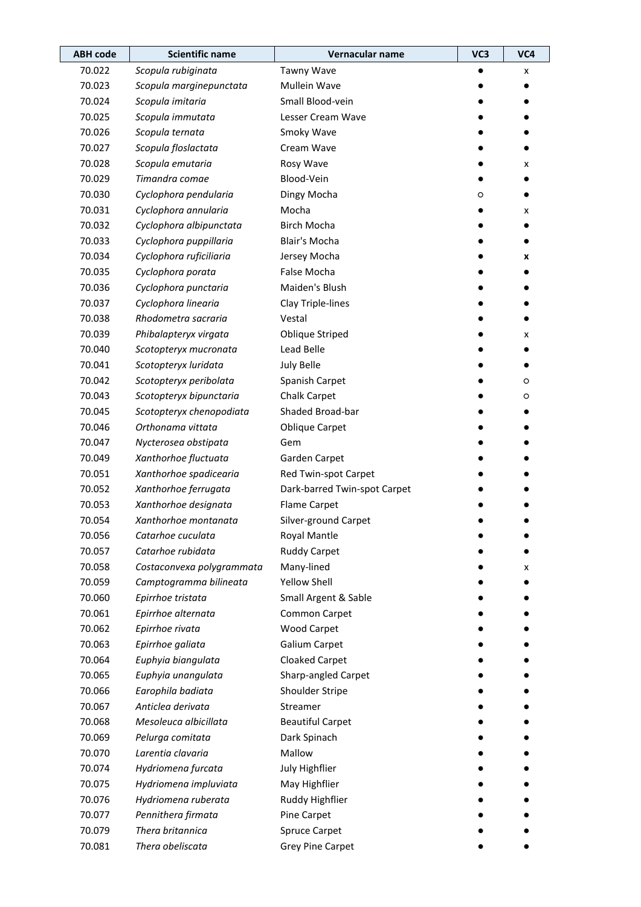| <b>ABH code</b> | <b>Scientific name</b>    | Vernacular name              | VC3 | VC4 |
|-----------------|---------------------------|------------------------------|-----|-----|
| 70.022          | Scopula rubiginata        | Tawny Wave                   |     | x   |
| 70.023          | Scopula marginepunctata   | Mullein Wave                 |     |     |
| 70.024          | Scopula imitaria          | Small Blood-vein             |     |     |
| 70.025          | Scopula immutata          | Lesser Cream Wave            |     |     |
| 70.026          | Scopula ternata           | Smoky Wave                   |     |     |
| 70.027          | Scopula floslactata       | Cream Wave                   |     |     |
| 70.028          | Scopula emutaria          | Rosy Wave                    |     | x   |
| 70.029          | Timandra comae            | Blood-Vein                   |     |     |
| 70.030          | Cyclophora pendularia     | Dingy Mocha                  | O   |     |
| 70.031          | Cyclophora annularia      | Mocha                        |     | x   |
| 70.032          | Cyclophora albipunctata   | <b>Birch Mocha</b>           |     |     |
| 70.033          | Cyclophora puppillaria    | Blair's Mocha                |     |     |
| 70.034          | Cyclophora ruficiliaria   | Jersey Mocha                 |     | x   |
| 70.035          | Cyclophora porata         | False Mocha                  |     |     |
| 70.036          | Cyclophora punctaria      | Maiden's Blush               |     |     |
| 70.037          | Cyclophora linearia       | Clay Triple-lines            |     |     |
| 70.038          | Rhodometra sacraria       | Vestal                       |     |     |
| 70.039          | Phibalapteryx virgata     | <b>Oblique Striped</b>       |     | x   |
| 70.040          | Scotopteryx mucronata     | Lead Belle                   |     |     |
| 70.041          | Scotopteryx luridata      | <b>July Belle</b>            |     |     |
| 70.042          | Scotopteryx peribolata    | Spanish Carpet               |     | O   |
| 70.043          | Scotopteryx bipunctaria   | <b>Chalk Carpet</b>          |     | O   |
| 70.045          | Scotopteryx chenopodiata  | Shaded Broad-bar             |     |     |
| 70.046          | Orthonama vittata         | <b>Oblique Carpet</b>        |     |     |
| 70.047          | Nycterosea obstipata      | Gem                          |     |     |
| 70.049          | Xanthorhoe fluctuata      | Garden Carpet                |     |     |
| 70.051          | Xanthorhoe spadicearia    | Red Twin-spot Carpet         |     |     |
| 70.052          | Xanthorhoe ferrugata      | Dark-barred Twin-spot Carpet |     |     |
| 70.053          | Xanthorhoe designata      | <b>Flame Carpet</b>          |     |     |
| 70.054          | Xanthorhoe montanata      | Silver-ground Carpet         |     |     |
| 70.056          | Catarhoe cuculata         | Royal Mantle                 |     |     |
| 70.057          | Catarhoe rubidata         | <b>Ruddy Carpet</b>          |     |     |
| 70.058          | Costaconvexa polygrammata | Many-lined                   |     | x   |
| 70.059          | Camptogramma bilineata    | <b>Yellow Shell</b>          |     |     |
| 70.060          | Epirrhoe tristata         | Small Argent & Sable         |     |     |
| 70.061          | Epirrhoe alternata        | Common Carpet                |     |     |
| 70.062          | Epirrhoe rivata           | <b>Wood Carpet</b>           |     |     |
| 70.063          | Epirrhoe galiata          | Galium Carpet                |     |     |
| 70.064          | Euphyia biangulata        | Cloaked Carpet               |     |     |
| 70.065          | Euphyia unangulata        | Sharp-angled Carpet          |     |     |
| 70.066          | Earophila badiata         | Shoulder Stripe              |     |     |
| 70.067          | Anticlea derivata         | Streamer                     |     |     |
| 70.068          | Mesoleuca albicillata     | <b>Beautiful Carpet</b>      |     |     |
| 70.069          | Pelurga comitata          | Dark Spinach                 |     |     |
| 70.070          | Larentia clavaria         | Mallow                       |     |     |
| 70.074          | Hydriomena furcata        | July Highflier               |     |     |
| 70.075          | Hydriomena impluviata     | May Highflier                |     |     |
| 70.076          | Hydriomena ruberata       | Ruddy Highflier              |     |     |
| 70.077          | Pennithera firmata        | Pine Carpet                  |     |     |
| 70.079          | Thera britannica          | <b>Spruce Carpet</b>         |     |     |
| 70.081          | Thera obeliscata          | <b>Grey Pine Carpet</b>      |     |     |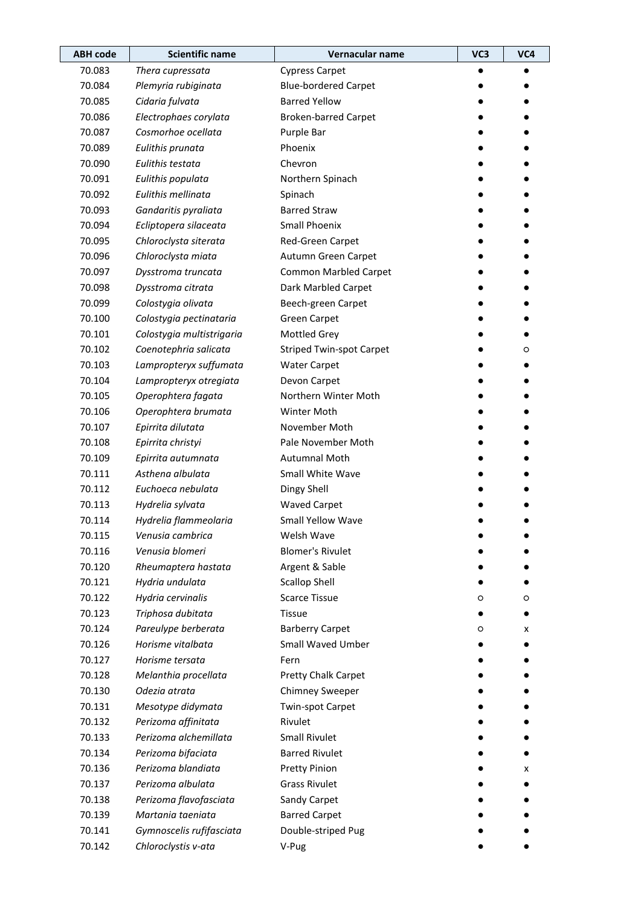| <b>ABH</b> code | <b>Scientific name</b>    | Vernacular name                 | VC3 | VC4 |
|-----------------|---------------------------|---------------------------------|-----|-----|
| 70.083          | Thera cupressata          | <b>Cypress Carpet</b>           |     |     |
| 70.084          | Plemyria rubiginata       | <b>Blue-bordered Carpet</b>     |     |     |
| 70.085          | Cidaria fulvata           | <b>Barred Yellow</b>            |     |     |
| 70.086          | Electrophaes corylata     | <b>Broken-barred Carpet</b>     |     |     |
| 70.087          | Cosmorhoe ocellata        | Purple Bar                      |     |     |
| 70.089          | Eulithis prunata          | Phoenix                         |     |     |
| 70.090          | Eulithis testata          | Chevron                         |     |     |
| 70.091          | Eulithis populata         | Northern Spinach                |     |     |
| 70.092          | Eulithis mellinata        | Spinach                         |     |     |
| 70.093          | Gandaritis pyraliata      | <b>Barred Straw</b>             |     |     |
| 70.094          | Ecliptopera silaceata     | <b>Small Phoenix</b>            |     |     |
| 70.095          | Chloroclysta siterata     | Red-Green Carpet                |     |     |
| 70.096          | Chloroclysta miata        | Autumn Green Carpet             |     |     |
| 70.097          | Dysstroma truncata        | <b>Common Marbled Carpet</b>    |     |     |
| 70.098          | Dysstroma citrata         | Dark Marbled Carpet             |     |     |
| 70.099          | Colostygia olivata        | Beech-green Carpet              |     |     |
| 70.100          | Colostygia pectinataria   | <b>Green Carpet</b>             |     |     |
| 70.101          | Colostygia multistrigaria | <b>Mottled Grey</b>             |     |     |
| 70.102          | Coenotephria salicata     | <b>Striped Twin-spot Carpet</b> |     | O   |
| 70.103          | Lampropteryx suffumata    | <b>Water Carpet</b>             |     |     |
| 70.104          | Lampropteryx otregiata    | Devon Carpet                    |     |     |
| 70.105          | Operophtera fagata        | Northern Winter Moth            |     |     |
| 70.106          | Operophtera brumata       | Winter Moth                     |     |     |
| 70.107          | Epirrita dilutata         | November Moth                   |     |     |
| 70.108          | Epirrita christyi         | Pale November Moth              |     |     |
| 70.109          | Epirrita autumnata        | <b>Autumnal Moth</b>            |     |     |
| 70.111          | Asthena albulata          | Small White Wave                |     |     |
| 70.112          | Euchoeca nebulata         | Dingy Shell                     |     |     |
| 70.113          | Hydrelia sylvata          | <b>Waved Carpet</b>             |     |     |
| 70.114          | Hydrelia flammeolaria     | Small Yellow Wave               |     |     |
| 70.115          | Venusia cambrica          | Welsh Wave                      |     |     |
| 70.116          | Venusia blomeri           | <b>Blomer's Rivulet</b>         |     |     |
| 70.120          | Rheumaptera hastata       | Argent & Sable                  |     |     |
| 70.121          | Hydria undulata           | <b>Scallop Shell</b>            |     |     |
| 70.122          | Hydria cervinalis         | <b>Scarce Tissue</b>            | O   | O   |
| 70.123          | Triphosa dubitata         | <b>Tissue</b>                   |     |     |
| 70.124          | Pareulype berberata       | <b>Barberry Carpet</b>          | O   | x   |
| 70.126          | Horisme vitalbata         | Small Waved Umber               |     |     |
| 70.127          | Horisme tersata           | Fern                            |     |     |
| 70.128          | Melanthia procellata      | Pretty Chalk Carpet             |     |     |
| 70.130          | Odezia atrata             | <b>Chimney Sweeper</b>          |     |     |
| 70.131          | Mesotype didymata         | Twin-spot Carpet                |     |     |
| 70.132          | Perizoma affinitata       | Rivulet                         |     |     |
| 70.133          | Perizoma alchemillata     | <b>Small Rivulet</b>            |     |     |
| 70.134          | Perizoma bifaciata        | <b>Barred Rivulet</b>           |     |     |
| 70.136          | Perizoma blandiata        | <b>Pretty Pinion</b>            |     | x   |
| 70.137          | Perizoma albulata         | <b>Grass Rivulet</b>            |     |     |
| 70.138          | Perizoma flavofasciata    | Sandy Carpet                    |     |     |
| 70.139          | Martania taeniata         | <b>Barred Carpet</b>            |     |     |
| 70.141          | Gymnoscelis rufifasciata  | Double-striped Pug              |     |     |
| 70.142          | Chloroclystis v-ata       | V-Pug                           |     |     |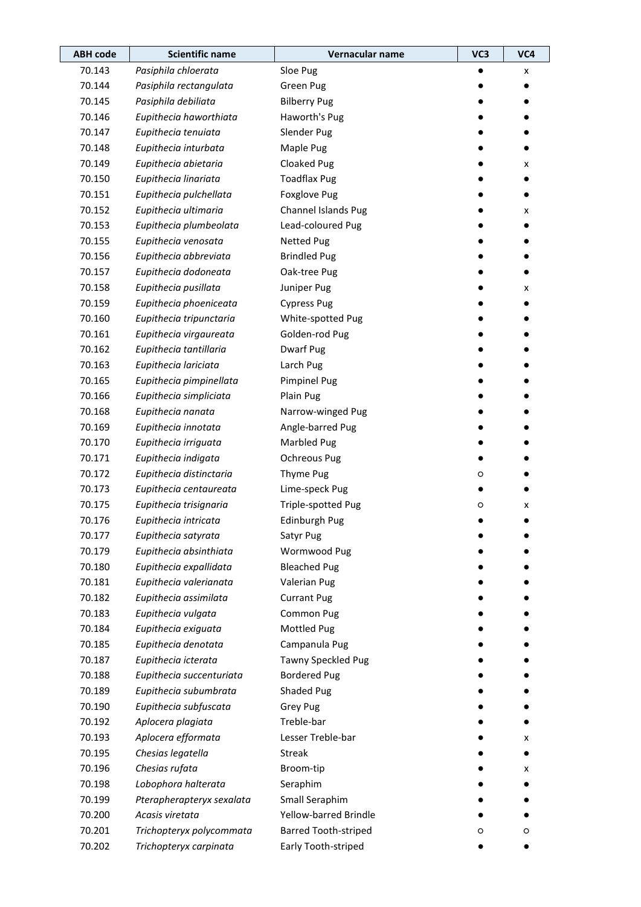| <b>ABH code</b> | <b>Scientific name</b>    | Vernacular name             | VC3 | VC4 |
|-----------------|---------------------------|-----------------------------|-----|-----|
| 70.143          | Pasiphila chloerata       | Sloe Pug                    |     | x   |
| 70.144          | Pasiphila rectangulata    | <b>Green Pug</b>            |     |     |
| 70.145          | Pasiphila debiliata       | <b>Bilberry Pug</b>         |     |     |
| 70.146          | Eupithecia haworthiata    | Haworth's Pug               |     |     |
| 70.147          | Eupithecia tenuiata       | Slender Pug                 |     |     |
| 70.148          | Eupithecia inturbata      | Maple Pug                   |     |     |
| 70.149          | Eupithecia abietaria      | Cloaked Pug                 |     | x   |
| 70.150          | Eupithecia linariata      | <b>Toadflax Pug</b>         |     |     |
| 70.151          | Eupithecia pulchellata    | <b>Foxglove Pug</b>         |     |     |
| 70.152          | Eupithecia ultimaria      | Channel Islands Pug         |     | x   |
| 70.153          | Eupithecia plumbeolata    | Lead-coloured Pug           |     |     |
| 70.155          | Eupithecia venosata       | <b>Netted Pug</b>           |     |     |
| 70.156          | Eupithecia abbreviata     | <b>Brindled Pug</b>         |     |     |
| 70.157          | Eupithecia dodoneata      | Oak-tree Pug                |     |     |
| 70.158          | Eupithecia pusillata      | Juniper Pug                 |     | x   |
| 70.159          | Eupithecia phoeniceata    | <b>Cypress Pug</b>          |     |     |
| 70.160          | Eupithecia tripunctaria   | White-spotted Pug           |     |     |
| 70.161          | Eupithecia virgaureata    | Golden-rod Pug              |     |     |
| 70.162          | Eupithecia tantillaria    | Dwarf Pug                   |     |     |
| 70.163          | Eupithecia lariciata      | Larch Pug                   |     |     |
| 70.165          | Eupithecia pimpinellata   | <b>Pimpinel Pug</b>         |     |     |
| 70.166          | Eupithecia simpliciata    | Plain Pug                   |     |     |
| 70.168          | Eupithecia nanata         | Narrow-winged Pug           |     |     |
| 70.169          | Eupithecia innotata       | Angle-barred Pug            |     |     |
| 70.170          | Eupithecia irriguata      | Marbled Pug                 |     |     |
| 70.171          | Eupithecia indigata       | <b>Ochreous Pug</b>         |     |     |
| 70.172          | Eupithecia distinctaria   | Thyme Pug                   | O   |     |
| 70.173          | Eupithecia centaureata    | Lime-speck Pug              |     |     |
| 70.175          | Eupithecia trisignaria    | Triple-spotted Pug          | O   | x   |
| 70.176          | Eupithecia intricata      | <b>Edinburgh Pug</b>        |     |     |
| 70.177          | Eupithecia satyrata       | Satyr Pug                   |     |     |
| 70.179          | Eupithecia absinthiata    | Wormwood Pug                |     |     |
| 70.180          | Eupithecia expallidata    | <b>Bleached Pug</b>         |     |     |
| 70.181          | Eupithecia valerianata    | Valerian Pug                |     |     |
| 70.182          | Eupithecia assimilata     | <b>Currant Pug</b>          |     |     |
| 70.183          | Eupithecia vulgata        | Common Pug                  |     |     |
| 70.184          | Eupithecia exiguata       | Mottled Pug                 |     |     |
| 70.185          | Eupithecia denotata       | Campanula Pug               |     |     |
| 70.187          | Eupithecia icterata       | Tawny Speckled Pug          |     |     |
| 70.188          | Eupithecia succenturiata  | <b>Bordered Pug</b>         |     |     |
| 70.189          | Eupithecia subumbrata     | Shaded Pug                  |     |     |
| 70.190          | Eupithecia subfuscata     | <b>Grey Pug</b>             |     |     |
| 70.192          | Aplocera plagiata         | Treble-bar                  |     |     |
| 70.193          | Aplocera efformata        | Lesser Treble-bar           |     | x   |
| 70.195          | Chesias legatella         | <b>Streak</b>               |     |     |
| 70.196          | Chesias rufata            | Broom-tip                   |     | x   |
| 70.198          | Lobophora halterata       | Seraphim                    |     |     |
| 70.199          | Pterapherapteryx sexalata | Small Seraphim              |     |     |
| 70.200          | Acasis viretata           | Yellow-barred Brindle       |     |     |
| 70.201          | Trichopteryx polycommata  | <b>Barred Tooth-striped</b> | O   | O   |
| 70.202          | Trichopteryx carpinata    | Early Tooth-striped         |     |     |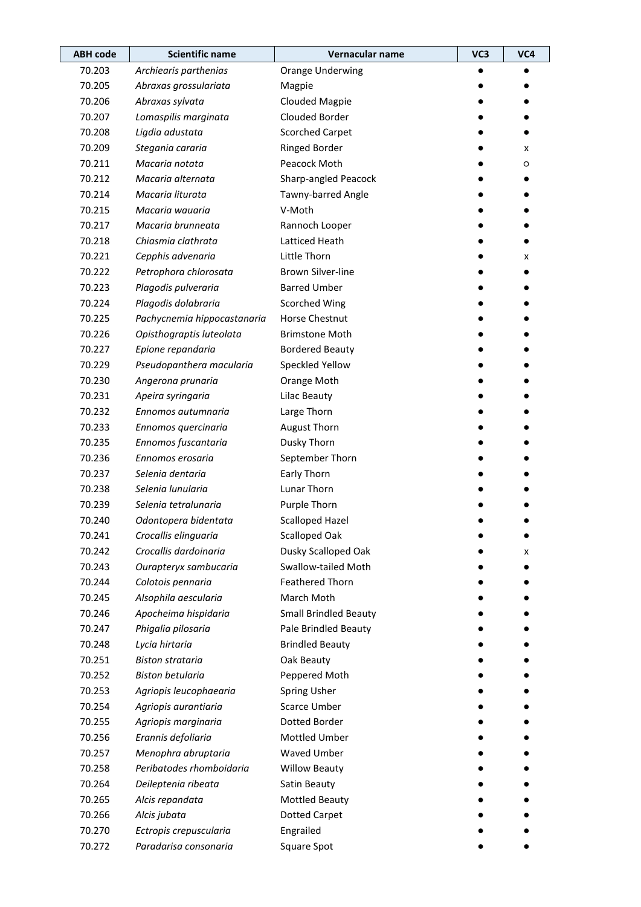| <b>ABH code</b> | <b>Scientific name</b>      | Vernacular name              | VC3 | VC4 |
|-----------------|-----------------------------|------------------------------|-----|-----|
| 70.203          | Archiearis parthenias       | <b>Orange Underwing</b>      |     |     |
| 70.205          | Abraxas grossulariata       | Magpie                       |     |     |
| 70.206          | Abraxas sylvata             | <b>Clouded Magpie</b>        |     |     |
| 70.207          | Lomaspilis marginata        | Clouded Border               |     |     |
| 70.208          | Ligdia adustata             | <b>Scorched Carpet</b>       |     |     |
| 70.209          | Stegania cararia            | <b>Ringed Border</b>         |     | x   |
| 70.211          | Macaria notata              | Peacock Moth                 |     | O   |
| 70.212          | Macaria alternata           | Sharp-angled Peacock         |     |     |
| 70.214          | Macaria liturata            | Tawny-barred Angle           |     |     |
| 70.215          | Macaria wauaria             | V-Moth                       |     |     |
| 70.217          | Macaria brunneata           | Rannoch Looper               |     |     |
| 70.218          | Chiasmia clathrata          | Latticed Heath               |     |     |
| 70.221          | Cepphis advenaria           | Little Thorn                 |     | x   |
| 70.222          | Petrophora chlorosata       | <b>Brown Silver-line</b>     |     |     |
| 70.223          | Plagodis pulveraria         | <b>Barred Umber</b>          |     |     |
| 70.224          | Plagodis dolabraria         | <b>Scorched Wing</b>         |     |     |
| 70.225          | Pachycnemia hippocastanaria | Horse Chestnut               |     |     |
| 70.226          | Opisthograptis luteolata    | <b>Brimstone Moth</b>        |     |     |
| 70.227          | Epione repandaria           | <b>Bordered Beauty</b>       |     |     |
| 70.229          | Pseudopanthera macularia    | Speckled Yellow              |     |     |
| 70.230          | Angerona prunaria           | Orange Moth                  |     |     |
| 70.231          | Apeira syringaria           | Lilac Beauty                 |     |     |
| 70.232          | Ennomos autumnaria          | Large Thorn                  |     |     |
| 70.233          | Ennomos quercinaria         | <b>August Thorn</b>          |     |     |
| 70.235          | Ennomos fuscantaria         | Dusky Thorn                  |     |     |
| 70.236          | Ennomos erosaria            | September Thorn              |     |     |
| 70.237          | Selenia dentaria            | Early Thorn                  |     |     |
| 70.238          | Selenia lunularia           | Lunar Thorn                  |     |     |
| 70.239          | Selenia tetralunaria        | Purple Thorn                 |     |     |
| 70.240          | Odontopera bidentata        | <b>Scalloped Hazel</b>       |     |     |
| 70.241          | Crocallis elinguaria        | Scalloped Oak                |     |     |
| 70.242          | Crocallis dardoinaria       | Dusky Scalloped Oak          |     | х   |
| 70.243          | Ourapteryx sambucaria       | Swallow-tailed Moth          |     |     |
| 70.244          | Colotois pennaria           | <b>Feathered Thorn</b>       |     |     |
| 70.245          | Alsophila aescularia        | March Moth                   |     |     |
| 70.246          | Apocheima hispidaria        | <b>Small Brindled Beauty</b> |     |     |
| 70.247          | Phigalia pilosaria          | Pale Brindled Beauty         |     |     |
| 70.248          | Lycia hirtaria              | <b>Brindled Beauty</b>       |     |     |
| 70.251          | <b>Biston strataria</b>     | Oak Beauty                   |     |     |
| 70.252          | <b>Biston betularia</b>     | Peppered Moth                |     |     |
| 70.253          | Agriopis leucophaearia      | <b>Spring Usher</b>          |     |     |
| 70.254          | Agriopis aurantiaria        | <b>Scarce Umber</b>          |     |     |
| 70.255          | Agriopis marginaria         | Dotted Border                |     |     |
| 70.256          | Erannis defoliaria          | Mottled Umber                |     |     |
| 70.257          | Menophra abruptaria         | <b>Waved Umber</b>           |     |     |
| 70.258          | Peribatodes rhomboidaria    | <b>Willow Beauty</b>         |     |     |
| 70.264          | Deileptenia ribeata         | Satin Beauty                 |     |     |
| 70.265          | Alcis repandata             | <b>Mottled Beauty</b>        |     |     |
| 70.266          | Alcis jubata                | <b>Dotted Carpet</b>         |     |     |
| 70.270          | Ectropis crepuscularia      | Engrailed                    |     |     |
| 70.272          | Paradarisa consonaria       | Square Spot                  |     |     |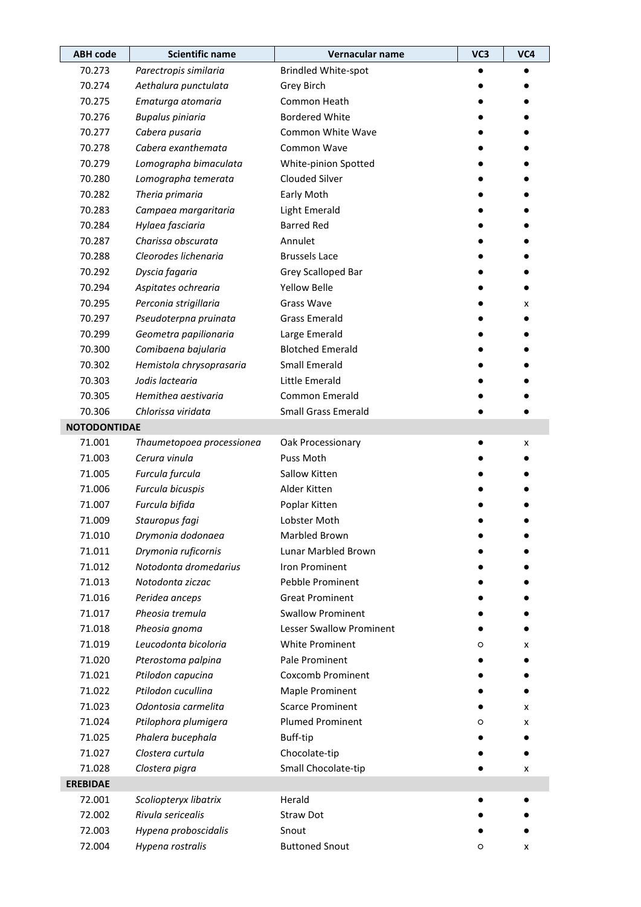| <b>ABH</b> code     | <b>Scientific name</b>    | Vernacular name                 | VC3 | VC4 |
|---------------------|---------------------------|---------------------------------|-----|-----|
| 70.273              | Parectropis similaria     | <b>Brindled White-spot</b>      |     |     |
| 70.274              | Aethalura punctulata      | Grey Birch                      |     |     |
| 70.275              | Ematurga atomaria         | Common Heath                    |     |     |
| 70.276              | <b>Bupalus piniaria</b>   | <b>Bordered White</b>           |     |     |
| 70.277              | Cabera pusaria            | Common White Wave               |     |     |
| 70.278              | Cabera exanthemata        | Common Wave                     |     |     |
| 70.279              | Lomographa bimaculata     | White-pinion Spotted            |     |     |
| 70.280              | Lomographa temerata       | <b>Clouded Silver</b>           |     |     |
| 70.282              | Theria primaria           | Early Moth                      |     |     |
| 70.283              | Campaea margaritaria      | Light Emerald                   |     |     |
| 70.284              | Hylaea fasciaria          | <b>Barred Red</b>               |     |     |
| 70.287              | Charissa obscurata        | Annulet                         |     |     |
| 70.288              | Cleorodes lichenaria      | <b>Brussels Lace</b>            |     |     |
| 70.292              | Dyscia fagaria            | Grey Scalloped Bar              |     |     |
| 70.294              | Aspitates ochrearia       | <b>Yellow Belle</b>             |     |     |
| 70.295              | Perconia strigillaria     | <b>Grass Wave</b>               |     | x   |
| 70.297              | Pseudoterpna pruinata     | <b>Grass Emerald</b>            |     |     |
| 70.299              | Geometra papilionaria     | Large Emerald                   |     |     |
| 70.300              | Comibaena bajularia       | <b>Blotched Emerald</b>         |     |     |
| 70.302              | Hemistola chrysoprasaria  | <b>Small Emerald</b>            |     |     |
| 70.303              | Jodis lactearia           | Little Emerald                  |     |     |
| 70.305              | Hemithea aestivaria       | Common Emerald                  |     |     |
| 70.306              | Chlorissa viridata        | <b>Small Grass Emerald</b>      |     |     |
| <b>NOTODONTIDAE</b> |                           |                                 |     |     |
| 71.001              | Thaumetopoea processionea | Oak Processionary               |     | x   |
| 71.003              | Cerura vinula             | Puss Moth                       |     |     |
| 71.005              | Furcula furcula           | Sallow Kitten                   |     |     |
| 71.006              | Furcula bicuspis          | Alder Kitten                    |     |     |
| 71.007              | Furcula bifida            | Poplar Kitten                   |     |     |
| 71.009              | Stauropus fagi            | Lobster Moth                    |     |     |
| 71.010              | Drymonia dodonaea         | Marbled Brown                   |     |     |
| 71.011              | Drymonia ruficornis       | Lunar Marbled Brown             |     |     |
| 71.012              | Notodonta dromedarius     | <b>Iron Prominent</b>           |     |     |
| 71.013              | Notodonta ziczac          | Pebble Prominent                |     |     |
| 71.016              | Peridea anceps            | <b>Great Prominent</b>          |     |     |
| 71.017              | Pheosia tremula           | <b>Swallow Prominent</b>        |     |     |
| 71.018              | Pheosia gnoma             | <b>Lesser Swallow Prominent</b> |     |     |
| 71.019              | Leucodonta bicoloria      | White Prominent                 | O   | x   |
| 71.020              | Pterostoma palpina        | Pale Prominent                  |     |     |
| 71.021              | Ptilodon capucina         | <b>Coxcomb Prominent</b>        |     |     |
| 71.022              | Ptilodon cucullina        | <b>Maple Prominent</b>          |     |     |
| 71.023              | Odontosia carmelita       | <b>Scarce Prominent</b>         |     | x   |
| 71.024              | Ptilophora plumigera      | <b>Plumed Prominent</b>         | O   | x   |
| 71.025              | Phalera bucephala         | Buff-tip                        |     |     |
| 71.027              | Clostera curtula          | Chocolate-tip                   |     |     |
| 71.028              | Clostera pigra            | Small Chocolate-tip             |     | x   |
| <b>EREBIDAE</b>     |                           |                                 |     |     |
| 72.001              | Scoliopteryx libatrix     | Herald                          |     |     |
| 72.002              | Rivula sericealis         | <b>Straw Dot</b>                |     |     |
| 72.003              | Hypena proboscidalis      | Snout                           |     |     |
| 72.004              | Hypena rostralis          | <b>Buttoned Snout</b>           | O   | x   |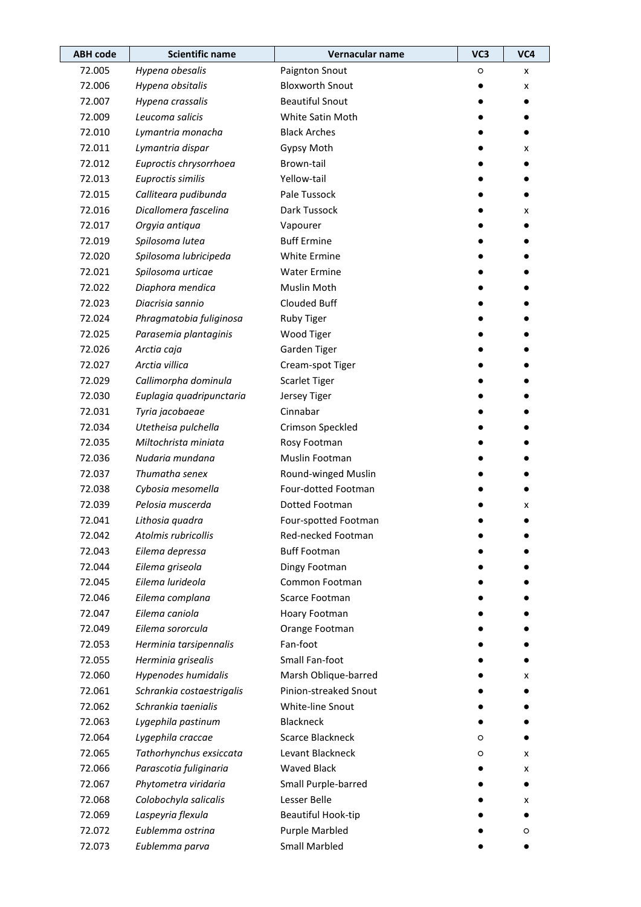| <b>ABH code</b> | <b>Scientific name</b>    | Vernacular name         | VC <sub>3</sub> | VC4 |
|-----------------|---------------------------|-------------------------|-----------------|-----|
| 72.005          | Hypena obesalis           | Paignton Snout          | O               | x   |
| 72.006          | Hypena obsitalis          | <b>Bloxworth Snout</b>  |                 | x   |
| 72.007          | Hypena crassalis          | <b>Beautiful Snout</b>  |                 |     |
| 72.009          | Leucoma salicis           | White Satin Moth        |                 |     |
| 72.010          | Lymantria monacha         | <b>Black Arches</b>     |                 |     |
| 72.011          | Lymantria dispar          | Gypsy Moth              |                 | x   |
| 72.012          | Euproctis chrysorrhoea    | Brown-tail              |                 |     |
| 72.013          | Euproctis similis         | Yellow-tail             |                 |     |
| 72.015          | Calliteara pudibunda      | Pale Tussock            |                 |     |
| 72.016          | Dicallomera fascelina     | Dark Tussock            |                 | x   |
| 72.017          | Orgyia antiqua            | Vapourer                |                 |     |
| 72.019          | Spilosoma lutea           | <b>Buff Ermine</b>      |                 |     |
| 72.020          | Spilosoma lubricipeda     | White Ermine            |                 |     |
| 72.021          | Spilosoma urticae         | <b>Water Ermine</b>     |                 |     |
| 72.022          | Diaphora mendica          | Muslin Moth             |                 |     |
| 72.023          | Diacrisia sannio          | Clouded Buff            |                 |     |
| 72.024          | Phragmatobia fuliginosa   | <b>Ruby Tiger</b>       |                 |     |
| 72.025          | Parasemia plantaginis     | Wood Tiger              |                 |     |
| 72.026          | Arctia caja               | Garden Tiger            |                 |     |
| 72.027          | Arctia villica            | Cream-spot Tiger        |                 |     |
| 72.029          | Callimorpha dominula      | <b>Scarlet Tiger</b>    |                 |     |
| 72.030          | Euplagia quadripunctaria  | Jersey Tiger            |                 |     |
| 72.031          | Tyria jacobaeae           | Cinnabar                |                 |     |
| 72.034          | Utetheisa pulchella       | Crimson Speckled        |                 |     |
| 72.035          | Miltochrista miniata      | Rosy Footman            |                 |     |
| 72.036          | Nudaria mundana           | Muslin Footman          |                 |     |
| 72.037          | Thumatha senex            | Round-winged Muslin     |                 |     |
| 72.038          | Cybosia mesomella         | Four-dotted Footman     |                 |     |
| 72.039          | Pelosia muscerda          | Dotted Footman          |                 | x   |
| 72.041          | Lithosia quadra           | Four-spotted Footman    |                 |     |
| 72.042          | Atolmis rubricollis       | Red-necked Footman      |                 |     |
| 72.043          | Eilema depressa           | <b>Buff Footman</b>     |                 |     |
| 72.044          | Eilema griseola           | Dingy Footman           |                 |     |
| 72.045          | Eilema lurideola          | Common Footman          |                 |     |
| 72.046          | Eilema complana           | Scarce Footman          |                 |     |
| 72.047          | Eilema caniola            | Hoary Footman           |                 |     |
| 72.049          | Eilema sororcula          | Orange Footman          |                 |     |
| 72.053          | Herminia tarsipennalis    | Fan-foot                |                 |     |
| 72.055          | Herminia grisealis        | Small Fan-foot          |                 |     |
| 72.060          | Hypenodes humidalis       | Marsh Oblique-barred    |                 | x   |
| 72.061          | Schrankia costaestrigalis | Pinion-streaked Snout   |                 |     |
| 72.062          | Schrankia taenialis       | White-line Snout        |                 |     |
| 72.063          | Lygephila pastinum        | Blackneck               |                 |     |
| 72.064          | Lygephila craccae         | <b>Scarce Blackneck</b> | O               |     |
| 72.065          | Tathorhynchus exsiccata   | Levant Blackneck        | O               | x   |
| 72.066          | Parascotia fuliginaria    | <b>Waved Black</b>      |                 | x   |
| 72.067          | Phytometra viridaria      | Small Purple-barred     |                 |     |
| 72.068          | Colobochyla salicalis     | Lesser Belle            |                 | x   |
| 72.069          | Laspeyria flexula         | Beautiful Hook-tip      |                 |     |
| 72.072          | Eublemma ostrina          | <b>Purple Marbled</b>   |                 | O   |
| 72.073          | Eublemma parva            | <b>Small Marbled</b>    |                 |     |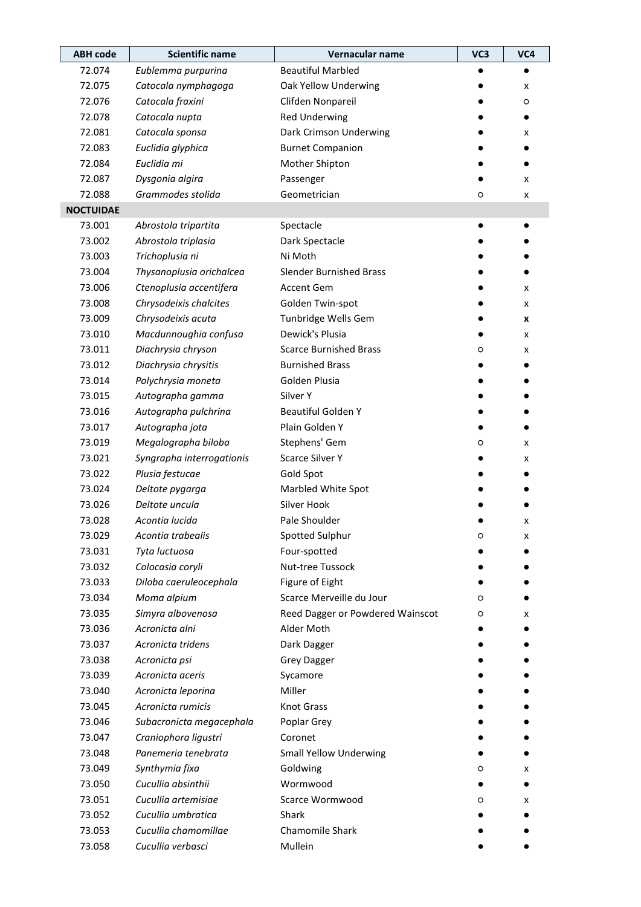| <b>ABH code</b>  | <b>Scientific name</b>    | Vernacular name                  | VC3     | VC4 |
|------------------|---------------------------|----------------------------------|---------|-----|
| 72.074           | Eublemma purpurina        | <b>Beautiful Marbled</b>         |         |     |
| 72.075           | Catocala nymphagoga       | Oak Yellow Underwing             |         | x   |
| 72.076           | Catocala fraxini          | Clifden Nonpareil                |         | O   |
| 72.078           | Catocala nupta            | <b>Red Underwing</b>             |         |     |
| 72.081           | Catocala sponsa           | Dark Crimson Underwing           |         | x   |
| 72.083           | Euclidia glyphica         | <b>Burnet Companion</b>          |         |     |
| 72.084           | Euclidia mi               | Mother Shipton                   |         |     |
| 72.087           | Dysgonia algira           | Passenger                        |         | x   |
| 72.088           | Grammodes stolida         | Geometrician                     | $\circ$ | x   |
| <b>NOCTUIDAE</b> |                           |                                  |         |     |
| 73.001           | Abrostola tripartita      | Spectacle                        |         |     |
| 73.002           | Abrostola triplasia       | Dark Spectacle                   |         |     |
| 73.003           | Trichoplusia ni           | Ni Moth                          |         |     |
| 73.004           | Thysanoplusia orichalcea  | <b>Slender Burnished Brass</b>   |         |     |
| 73.006           | Ctenoplusia accentifera   | Accent Gem                       |         | x   |
| 73.008           | Chrysodeixis chalcites    | Golden Twin-spot                 |         | x   |
| 73.009           | Chrysodeixis acuta        | Tunbridge Wells Gem              |         | x   |
| 73.010           | Macdunnoughia confusa     | Dewick's Plusia                  |         | x   |
| 73.011           | Diachrysia chryson        | <b>Scarce Burnished Brass</b>    | O       | x   |
| 73.012           | Diachrysia chrysitis      | <b>Burnished Brass</b>           |         |     |
| 73.014           | Polychrysia moneta        | Golden Plusia                    |         |     |
| 73.015           | Autographa gamma          | Silver Y                         |         |     |
| 73.016           | Autographa pulchrina      | <b>Beautiful Golden Y</b>        |         |     |
| 73.017           | Autographa jota           | Plain Golden Y                   |         |     |
| 73.019           | Megalographa biloba       | Stephens' Gem                    | O       | x   |
| 73.021           | Syngrapha interrogationis | <b>Scarce Silver Y</b>           |         | x   |
| 73.022           | Plusia festucae           | Gold Spot                        |         |     |
| 73.024           | Deltote pygarga           | Marbled White Spot               |         |     |
| 73.026           | Deltote uncula            | Silver Hook                      |         |     |
| 73.028           | Acontia lucida            | Pale Shoulder                    |         | x   |
| 73.029           | Acontia trabealis         | Spotted Sulphur                  | O       | x   |
| 73.031           | Tyta luctuosa             | Four-spotted                     |         |     |
| 73.032           | Colocasia coryli          | Nut-tree Tussock                 |         |     |
| 73.033           | Diloba caeruleocephala    | Figure of Eight                  |         |     |
| 73.034           | Moma alpium               | Scarce Merveille du Jour         | O       |     |
| 73.035           | Simyra albovenosa         | Reed Dagger or Powdered Wainscot | O       | x   |
| 73.036           | Acronicta alni            | Alder Moth                       |         |     |
| 73.037           | Acronicta tridens         | Dark Dagger                      |         |     |
| 73.038           | Acronicta psi             | <b>Grey Dagger</b>               |         |     |
| 73.039           | Acronicta aceris          | Sycamore                         |         |     |
| 73.040           | Acronicta leporina        | Miller                           |         |     |
| 73.045           | Acronicta rumicis         | <b>Knot Grass</b>                |         |     |
| 73.046           | Subacronicta megacephala  | Poplar Grey                      |         |     |
| 73.047           | Craniophora ligustri      | Coronet                          |         |     |
| 73.048           | Panemeria tenebrata       | <b>Small Yellow Underwing</b>    |         |     |
| 73.049           | Synthymia fixa            | Goldwing                         | $\circ$ | x   |
| 73.050           | Cucullia absinthii        | Wormwood                         |         |     |
| 73.051           | Cucullia artemisiae       | Scarce Wormwood                  | O       | x   |
| 73.052           | Cucullia umbratica        | Shark                            |         |     |
| 73.053           | Cucullia chamomillae      | Chamomile Shark                  |         |     |
| 73.058           | Cucullia verbasci         | Mullein                          |         |     |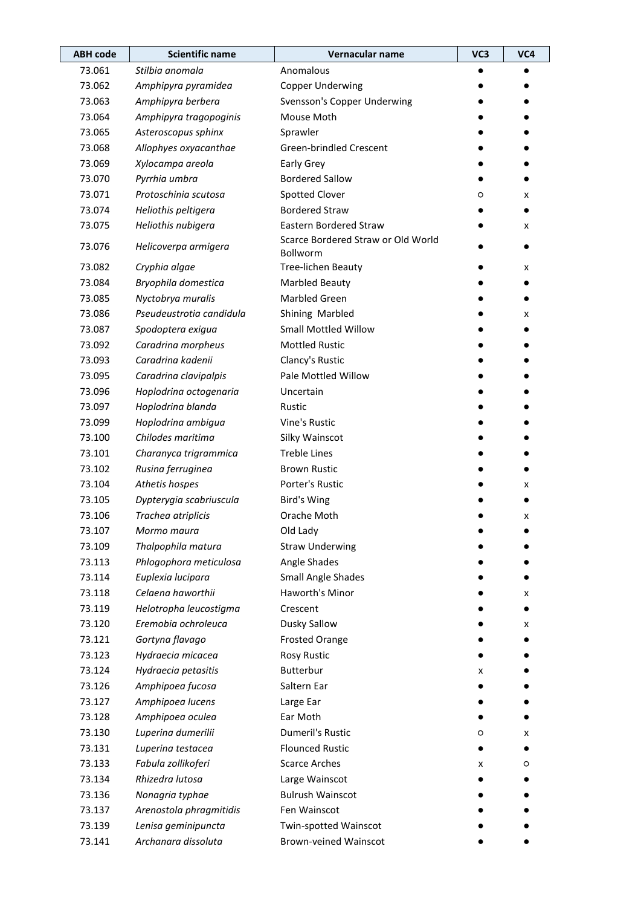| <b>ABH</b> code | <b>Scientific name</b>   | Vernacular name                                | VC3 | VC4 |
|-----------------|--------------------------|------------------------------------------------|-----|-----|
| 73.061          | Stilbia anomala          | Anomalous                                      |     |     |
| 73.062          | Amphipyra pyramidea      | <b>Copper Underwing</b>                        |     |     |
| 73.063          | Amphipyra berbera        | Svensson's Copper Underwing                    |     |     |
| 73.064          | Amphipyra tragopoginis   | Mouse Moth                                     |     |     |
| 73.065          | Asteroscopus sphinx      | Sprawler                                       |     |     |
| 73.068          | Allophyes oxyacanthae    | Green-brindled Crescent                        |     |     |
| 73.069          | Xylocampa areola         | Early Grey                                     |     |     |
| 73.070          | Pyrrhia umbra            | <b>Bordered Sallow</b>                         |     |     |
| 73.071          | Protoschinia scutosa     | <b>Spotted Clover</b>                          | O   | x   |
| 73.074          | Heliothis peltigera      | <b>Bordered Straw</b>                          |     |     |
| 73.075          | Heliothis nubigera       | <b>Eastern Bordered Straw</b>                  |     | x   |
| 73.076          | Helicoverpa armigera     | Scarce Bordered Straw or Old World<br>Bollworm |     |     |
| 73.082          | Cryphia algae            | Tree-lichen Beauty                             |     | x   |
| 73.084          | Bryophila domestica      | <b>Marbled Beauty</b>                          |     |     |
| 73.085          | Nyctobrya muralis        | <b>Marbled Green</b>                           |     |     |
| 73.086          | Pseudeustrotia candidula | Shining Marbled                                |     | x   |
| 73.087          | Spodoptera exigua        | <b>Small Mottled Willow</b>                    |     |     |
| 73.092          | Caradrina morpheus       | <b>Mottled Rustic</b>                          |     |     |
| 73.093          | Caradrina kadenii        | Clancy's Rustic                                |     |     |
| 73.095          | Caradrina clavipalpis    | Pale Mottled Willow                            |     |     |
| 73.096          | Hoplodrina octogenaria   | Uncertain                                      |     |     |
| 73.097          | Hoplodrina blanda        | Rustic                                         |     |     |
| 73.099          | Hoplodrina ambigua       | Vine's Rustic                                  |     |     |
| 73.100          | Chilodes maritima        | Silky Wainscot                                 |     |     |
| 73.101          | Charanyca trigrammica    | <b>Treble Lines</b>                            |     |     |
| 73.102          | Rusina ferruginea        | <b>Brown Rustic</b>                            |     |     |
| 73.104          | Athetis hospes           | Porter's Rustic                                |     | x   |
| 73.105          | Dypterygia scabriuscula  | Bird's Wing                                    |     |     |
| 73.106          | Trachea atriplicis       | Orache Moth                                    |     | x   |
| 73.107          | Mormo maura              | Old Lady                                       |     |     |
| 73.109          | Thalpophila matura       | <b>Straw Underwing</b>                         |     |     |
| 73.113          | Phlogophora meticulosa   | Angle Shades                                   |     |     |
| 73.114          | Euplexia lucipara        | Small Angle Shades                             |     |     |
| 73.118          | Celaena haworthii        | Haworth's Minor                                |     | x   |
| 73.119          | Helotropha leucostigma   | Crescent                                       |     |     |
| 73.120          | Eremobia ochroleuca      | Dusky Sallow                                   |     | x   |
| 73.121          | Gortyna flavago          | <b>Frosted Orange</b>                          |     |     |
| 73.123          | Hydraecia micacea        | Rosy Rustic                                    |     |     |
| 73.124          | Hydraecia petasitis      | Butterbur                                      | x   |     |
| 73.126          | Amphipoea fucosa         | Saltern Ear                                    |     |     |
| 73.127          | Amphipoea lucens         | Large Ear                                      |     |     |
| 73.128          | Amphipoea oculea         | Ear Moth                                       |     |     |
| 73.130          | Luperina dumerilii       | <b>Dumeril's Rustic</b>                        | O   | x   |
| 73.131          | Luperina testacea        | <b>Flounced Rustic</b>                         |     |     |
| 73.133          | Fabula zollikoferi       | <b>Scarce Arches</b>                           | x   | O   |
| 73.134          | Rhizedra lutosa          | Large Wainscot                                 |     |     |
| 73.136          | Nonagria typhae          | <b>Bulrush Wainscot</b>                        |     |     |
| 73.137          | Arenostola phragmitidis  | Fen Wainscot                                   |     |     |
| 73.139          | Lenisa geminipuncta      | Twin-spotted Wainscot                          |     |     |
| 73.141          | Archanara dissoluta      | Brown-veined Wainscot                          |     |     |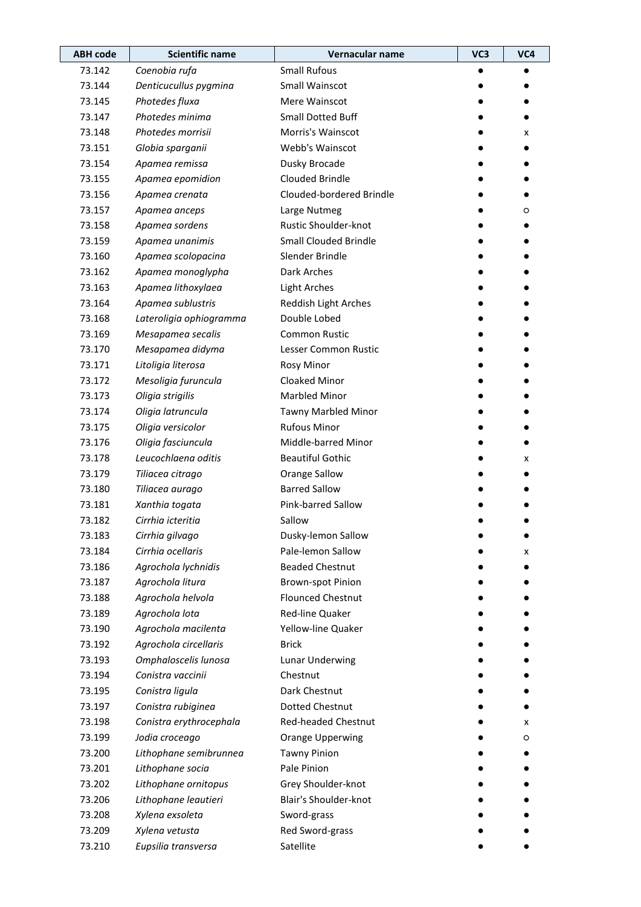| <b>ABH</b> code | <b>Scientific name</b>  | Vernacular name              | VC <sub>3</sub> | VC4 |
|-----------------|-------------------------|------------------------------|-----------------|-----|
| 73.142          | Coenobia rufa           | <b>Small Rufous</b>          |                 |     |
| 73.144          | Denticucullus pygmina   | Small Wainscot               |                 |     |
| 73.145          | Photedes fluxa          | Mere Wainscot                |                 |     |
| 73.147          | Photedes minima         | <b>Small Dotted Buff</b>     |                 |     |
| 73.148          | Photedes morrisii       | Morris's Wainscot            |                 | x   |
| 73.151          | Globia sparganii        | Webb's Wainscot              |                 |     |
| 73.154          | Apamea remissa          | Dusky Brocade                |                 |     |
| 73.155          | Apamea epomidion        | Clouded Brindle              |                 |     |
| 73.156          | Apamea crenata          | Clouded-bordered Brindle     |                 |     |
| 73.157          | Apamea anceps           | Large Nutmeg                 |                 | O   |
| 73.158          | Apamea sordens          | Rustic Shoulder-knot         |                 |     |
| 73.159          | Apamea unanimis         | <b>Small Clouded Brindle</b> |                 |     |
| 73.160          | Apamea scolopacina      | Slender Brindle              |                 |     |
| 73.162          | Apamea monoglypha       | Dark Arches                  |                 |     |
| 73.163          | Apamea lithoxylaea      | <b>Light Arches</b>          |                 |     |
| 73.164          | Apamea sublustris       | Reddish Light Arches         |                 |     |
| 73.168          | Lateroligia ophiogramma | Double Lobed                 |                 |     |
| 73.169          | Mesapamea secalis       | <b>Common Rustic</b>         |                 |     |
| 73.170          | Mesapamea didyma        | Lesser Common Rustic         |                 |     |
| 73.171          | Litoligia literosa      | Rosy Minor                   |                 |     |
| 73.172          | Mesoligia furuncula     | Cloaked Minor                |                 |     |
| 73.173          | Oligia strigilis        | <b>Marbled Minor</b>         |                 |     |
| 73.174          | Oligia latruncula       | Tawny Marbled Minor          |                 |     |
| 73.175          | Oligia versicolor       | <b>Rufous Minor</b>          |                 |     |
| 73.176          | Oligia fasciuncula      | Middle-barred Minor          |                 |     |
| 73.178          | Leucochlaena oditis     | <b>Beautiful Gothic</b>      |                 | x   |
| 73.179          | Tiliacea citrago        | Orange Sallow                |                 |     |
| 73.180          | Tiliacea aurago         | <b>Barred Sallow</b>         |                 |     |
| 73.181          | Xanthia togata          | Pink-barred Sallow           |                 |     |
| 73.182          | Cirrhia icteritia       | Sallow                       |                 |     |
| 73.183          | Cirrhia gilvago         | Dusky-lemon Sallow           |                 |     |
| 73.184          | Cirrhia ocellaris       | Pale-lemon Sallow            |                 | x   |
| 73.186          | Agrochola lychnidis     | <b>Beaded Chestnut</b>       |                 |     |
| 73.187          | Agrochola litura        | <b>Brown-spot Pinion</b>     |                 |     |
| 73.188          | Agrochola helvola       | <b>Flounced Chestnut</b>     |                 |     |
| 73.189          | Agrochola lota          | Red-line Quaker              |                 |     |
| 73.190          | Agrochola macilenta     | Yellow-line Quaker           |                 |     |
| 73.192          | Agrochola circellaris   | <b>Brick</b>                 |                 |     |
| 73.193          | Omphaloscelis lunosa    | Lunar Underwing              |                 |     |
| 73.194          | Conistra vaccinii       | Chestnut                     |                 |     |
| 73.195          | Conistra ligula         | Dark Chestnut                |                 |     |
| 73.197          | Conistra rubiginea      | <b>Dotted Chestnut</b>       |                 |     |
| 73.198          | Conistra erythrocephala | Red-headed Chestnut          |                 | x   |
| 73.199          | Jodia croceago          | Orange Upperwing             |                 | O   |
| 73.200          | Lithophane semibrunnea  | <b>Tawny Pinion</b>          |                 |     |
| 73.201          | Lithophane socia        | Pale Pinion                  |                 |     |
| 73.202          | Lithophane ornitopus    | Grey Shoulder-knot           |                 |     |
| 73.206          | Lithophane leautieri    | Blair's Shoulder-knot        |                 |     |
| 73.208          | Xylena exsoleta         | Sword-grass                  |                 |     |
| 73.209          | Xylena vetusta          | Red Sword-grass              |                 |     |
| 73.210          | Eupsilia transversa     | Satellite                    |                 |     |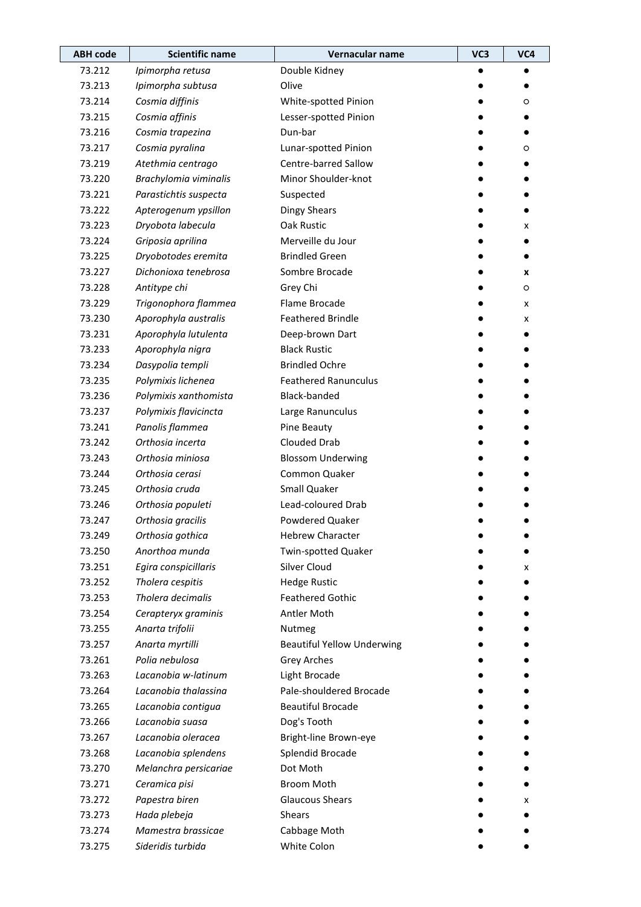| <b>ABH code</b> | <b>Scientific name</b> | Vernacular name                   | VC3 | VC4 |
|-----------------|------------------------|-----------------------------------|-----|-----|
| 73.212          | Ipimorpha retusa       | Double Kidney                     |     |     |
| 73.213          | Ipimorpha subtusa      | Olive                             |     |     |
| 73.214          | Cosmia diffinis        | White-spotted Pinion              |     | O   |
| 73.215          | Cosmia affinis         | Lesser-spotted Pinion             |     |     |
| 73.216          | Cosmia trapezina       | Dun-bar                           |     |     |
| 73.217          | Cosmia pyralina        | Lunar-spotted Pinion              |     | O   |
| 73.219          | Atethmia centrago      | Centre-barred Sallow              |     |     |
| 73.220          | Brachylomia viminalis  | Minor Shoulder-knot               |     |     |
| 73.221          | Parastichtis suspecta  | Suspected                         |     |     |
| 73.222          | Apterogenum ypsillon   | <b>Dingy Shears</b>               |     |     |
| 73.223          | Dryobota labecula      | Oak Rustic                        |     | x   |
| 73.224          | Griposia aprilina      | Merveille du Jour                 |     |     |
| 73.225          | Dryobotodes eremita    | <b>Brindled Green</b>             |     |     |
| 73.227          | Dichonioxa tenebrosa   | Sombre Brocade                    |     | X   |
| 73.228          | Antitype chi           | Grey Chi                          |     | O   |
| 73.229          | Trigonophora flammea   | Flame Brocade                     |     | x   |
| 73.230          | Aporophyla australis   | <b>Feathered Brindle</b>          |     | x   |
| 73.231          | Aporophyla lutulenta   | Deep-brown Dart                   |     |     |
| 73.233          | Aporophyla nigra       | <b>Black Rustic</b>               |     |     |
| 73.234          | Dasypolia templi       | <b>Brindled Ochre</b>             |     |     |
| 73.235          | Polymixis lichenea     | <b>Feathered Ranunculus</b>       |     |     |
| 73.236          | Polymixis xanthomista  | Black-banded                      |     |     |
| 73.237          | Polymixis flavicincta  | Large Ranunculus                  |     |     |
| 73.241          | Panolis flammea        | Pine Beauty                       |     |     |
| 73.242          | Orthosia incerta       | Clouded Drab                      |     |     |
| 73.243          | Orthosia miniosa       | <b>Blossom Underwing</b>          |     |     |
| 73.244          | Orthosia cerasi        | Common Quaker                     |     |     |
| 73.245          | Orthosia cruda         | Small Quaker                      |     |     |
| 73.246          | Orthosia populeti      | Lead-coloured Drab                |     |     |
| 73.247          | Orthosia gracilis      | Powdered Quaker                   |     |     |
| 73.249          | Orthosia gothica       | <b>Hebrew Character</b>           |     |     |
| 73.250          | Anorthoa munda         | Twin-spotted Quaker               |     |     |
| 73.251          | Egira conspicillaris   | Silver Cloud                      |     | x   |
| 73.252          | Tholera cespitis       | <b>Hedge Rustic</b>               |     |     |
| 73.253          | Tholera decimalis      | <b>Feathered Gothic</b>           |     |     |
| 73.254          | Cerapteryx graminis    | Antler Moth                       |     |     |
| 73.255          | Anarta trifolii        | Nutmeg                            |     |     |
| 73.257          | Anarta myrtilli        | <b>Beautiful Yellow Underwing</b> |     |     |
| 73.261          | Polia nebulosa         | <b>Grey Arches</b>                |     |     |
| 73.263          | Lacanobia w-latinum    | Light Brocade                     |     |     |
| 73.264          | Lacanobia thalassina   | Pale-shouldered Brocade           |     |     |
| 73.265          | Lacanobia contigua     | <b>Beautiful Brocade</b>          |     |     |
| 73.266          | Lacanobia suasa        | Dog's Tooth                       |     |     |
| 73.267          | Lacanobia oleracea     | Bright-line Brown-eye             |     |     |
| 73.268          | Lacanobia splendens    | Splendid Brocade                  |     |     |
| 73.270          | Melanchra persicariae  | Dot Moth                          |     |     |
| 73.271          | Ceramica pisi          | <b>Broom Moth</b>                 |     |     |
| 73.272          | Papestra biren         | <b>Glaucous Shears</b>            |     | x   |
| 73.273          | Hada plebeja           | Shears                            |     |     |
| 73.274          | Mamestra brassicae     | Cabbage Moth                      |     |     |
| 73.275          | Sideridis turbida      | White Colon                       |     |     |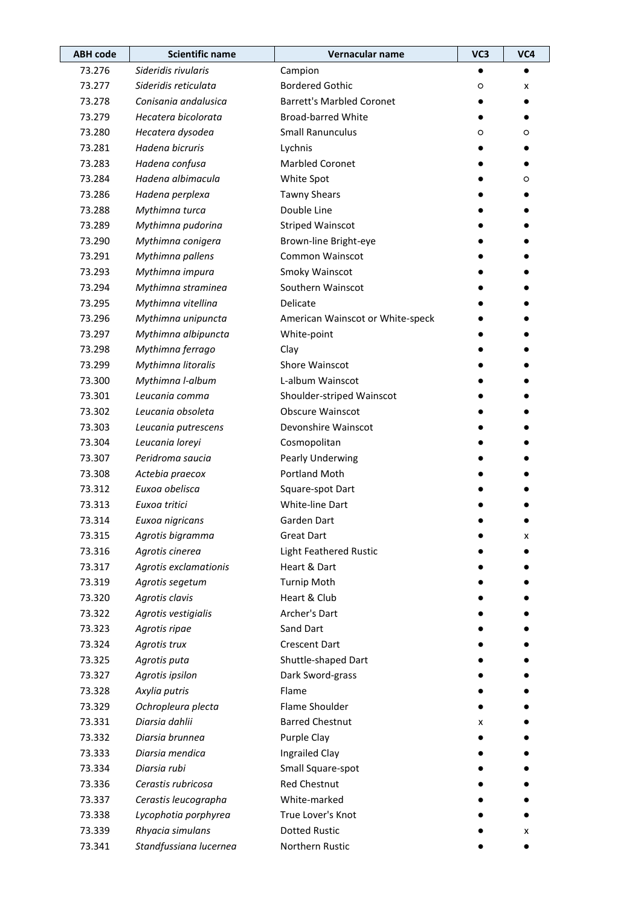| <b>ABH code</b> | <b>Scientific name</b> | Vernacular name                  | VC3 | VC4 |
|-----------------|------------------------|----------------------------------|-----|-----|
| 73.276          | Sideridis rivularis    | Campion                          |     |     |
| 73.277          | Sideridis reticulata   | <b>Bordered Gothic</b>           | O   | x   |
| 73.278          | Conisania andalusica   | <b>Barrett's Marbled Coronet</b> |     |     |
| 73.279          | Hecatera bicolorata    | <b>Broad-barred White</b>        |     |     |
| 73.280          | Hecatera dysodea       | <b>Small Ranunculus</b>          | O   | O   |
| 73.281          | Hadena bicruris        | Lychnis                          |     |     |
| 73.283          | Hadena confusa         | <b>Marbled Coronet</b>           |     |     |
| 73.284          | Hadena albimacula      | White Spot                       |     | O   |
| 73.286          | Hadena perplexa        | <b>Tawny Shears</b>              |     |     |
| 73.288          | Mythimna turca         | Double Line                      |     |     |
| 73.289          | Mythimna pudorina      | <b>Striped Wainscot</b>          |     |     |
| 73.290          | Mythimna conigera      | Brown-line Bright-eye            |     |     |
| 73.291          | Mythimna pallens       | Common Wainscot                  |     |     |
| 73.293          | Mythimna impura        | Smoky Wainscot                   |     |     |
| 73.294          | Mythimna straminea     | Southern Wainscot                |     |     |
| 73.295          | Mythimna vitellina     | Delicate                         |     |     |
| 73.296          | Mythimna unipuncta     | American Wainscot or White-speck |     |     |
| 73.297          | Mythimna albipuncta    | White-point                      |     |     |
| 73.298          | Mythimna ferrago       | Clay                             |     |     |
| 73.299          | Mythimna litoralis     | Shore Wainscot                   |     |     |
| 73.300          | Mythimna I-album       | L-album Wainscot                 |     |     |
| 73.301          | Leucania comma         | Shoulder-striped Wainscot        |     |     |
| 73.302          | Leucania obsoleta      | <b>Obscure Wainscot</b>          |     |     |
| 73.303          | Leucania putrescens    | Devonshire Wainscot              |     |     |
| 73.304          | Leucania loreyi        | Cosmopolitan                     |     |     |
| 73.307          | Peridroma saucia       | Pearly Underwing                 |     |     |
| 73.308          | Actebia praecox        | Portland Moth                    |     |     |
| 73.312          | Euxoa obelisca         | Square-spot Dart                 |     |     |
| 73.313          | Euxoa tritici          | White-line Dart                  |     |     |
| 73.314          | Euxoa nigricans        | Garden Dart                      |     |     |
| 73.315          | Agrotis bigramma       | <b>Great Dart</b>                |     | x   |
| 73.316          | Agrotis cinerea        | Light Feathered Rustic           |     |     |
| 73.317          | Agrotis exclamationis  | Heart & Dart                     |     |     |
| 73.319          | Agrotis segetum        | <b>Turnip Moth</b>               |     |     |
| 73.320          | Agrotis clavis         | Heart & Club                     |     |     |
| 73.322          | Agrotis vestigialis    | Archer's Dart                    |     |     |
| 73.323          | Agrotis ripae          | Sand Dart                        |     |     |
| 73.324          | Agrotis trux           | <b>Crescent Dart</b>             |     |     |
| 73.325          | Agrotis puta           | Shuttle-shaped Dart              |     |     |
| 73.327          | Agrotis ipsilon        | Dark Sword-grass                 |     |     |
| 73.328          | Axylia putris          | Flame                            |     |     |
| 73.329          | Ochropleura plecta     | Flame Shoulder                   |     |     |
| 73.331          | Diarsia dahlii         | <b>Barred Chestnut</b>           | x   |     |
| 73.332          | Diarsia brunnea        | Purple Clay                      |     |     |
| 73.333          | Diarsia mendica        | Ingrailed Clay                   |     |     |
| 73.334          | Diarsia rubi           | Small Square-spot                |     |     |
| 73.336          | Cerastis rubricosa     | Red Chestnut                     |     |     |
| 73.337          | Cerastis leucographa   | White-marked                     |     |     |
| 73.338          | Lycophotia porphyrea   | True Lover's Knot                |     |     |
| 73.339          | Rhyacia simulans       | <b>Dotted Rustic</b>             |     | x   |
| 73.341          | Standfussiana lucernea | Northern Rustic                  |     |     |